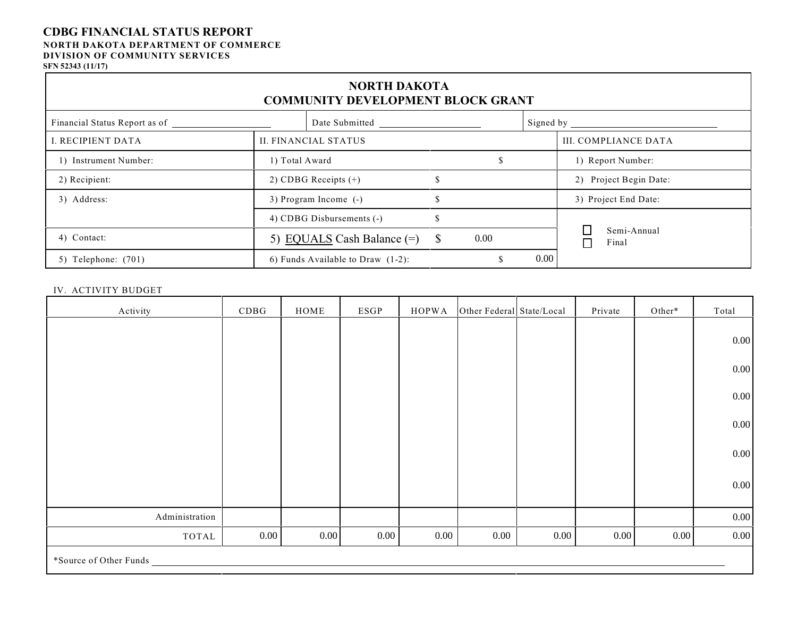#### **CDBG FINANCIAL STATUS REPORT NORTH DAKOTA DEPARTMENT OF COMMERCE DIVISION OF COMMUNITY SERVICES SFN 52343 (11/17)**

| <b>NORTH DAKOTA</b><br><b>COMMUNITY DEVELOPMENT BLOCK GRANT</b> |                                      |               |           |                                      |  |  |  |  |  |  |
|-----------------------------------------------------------------|--------------------------------------|---------------|-----------|--------------------------------------|--|--|--|--|--|--|
| Financial Status Report as of                                   | Date Submitted                       |               | Signed by |                                      |  |  |  |  |  |  |
| I. RECIPIENT DATA                                               | <b>II. FINANCIAL STATUS</b>          |               |           |                                      |  |  |  |  |  |  |
| 1) Instrument Number:                                           | 1) Total Award                       |               |           | 1) Report Number:                    |  |  |  |  |  |  |
| 2) Recipient:                                                   | 2) CDBG Receipts $(+)$               |               |           | 2) Project Begin Date:               |  |  |  |  |  |  |
| 3) Address:                                                     | 3) Program Income (-)                | $\mathcal{S}$ |           | 3) Project End Date:                 |  |  |  |  |  |  |
|                                                                 | 4) CDBG Disbursements (-)            | <sup>\$</sup> |           |                                      |  |  |  |  |  |  |
| 4) Contact:                                                     | 5) EQUALS Cash Balance $(=)$         | \$<br>0.00    |           | Semi-Annual<br>Final<br>$\mathsf{L}$ |  |  |  |  |  |  |
| 5) Telephone: $(701)$                                           | 6) Funds Available to Draw $(1-2)$ : |               | $0.00\,$  |                                      |  |  |  |  |  |  |

#### IV. ACTIVITY BUDGET

| Activity               | CDBG     | $\rm{HOME}$ | $_{ESGP}$ | <b>HOPWA</b> | Other Federal State/Local |          | Private  | Other*   | Total    |
|------------------------|----------|-------------|-----------|--------------|---------------------------|----------|----------|----------|----------|
|                        |          |             |           |              |                           |          |          |          |          |
|                        |          |             |           |              |                           |          |          |          | $0.00\,$ |
|                        |          |             |           |              |                           |          |          |          | $0.00\,$ |
|                        |          |             |           |              |                           |          |          |          |          |
|                        |          |             |           |              |                           |          |          |          | 0.00     |
|                        |          |             |           |              |                           |          |          |          | $0.00\,$ |
|                        |          |             |           |              |                           |          |          |          |          |
|                        |          |             |           |              |                           |          |          |          | $0.00\,$ |
|                        |          |             |           |              |                           |          |          |          | $0.00\,$ |
|                        |          |             |           |              |                           |          |          |          |          |
| Administration         |          |             |           |              |                           |          |          |          | $0.00\,$ |
| TOTAL                  | $0.00\,$ | $0.00\,$    | $0.00\,$  | $0.00\,$     | 0.00                      | $0.00\,$ | $0.00\,$ | $0.00\,$ | 0.00     |
| *Source of Other Funds |          |             |           |              |                           |          |          |          |          |
|                        |          |             |           |              |                           |          |          |          |          |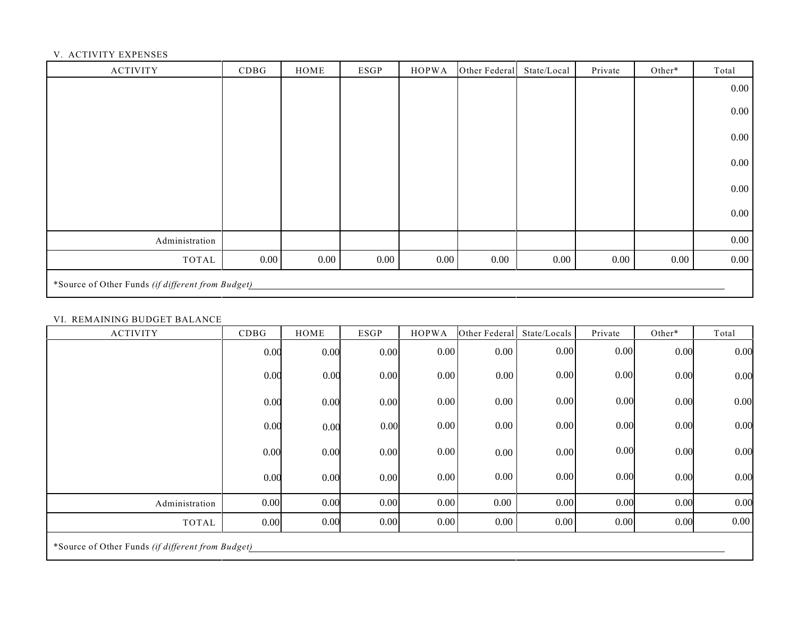### V. ACTIVITY EXPENSES

| <b>ACTIVITY</b>                                   | CDBG     | HOME | <b>ESGP</b> | <b>HOPWA</b> | Other Federal | State/Local | Private  | Other*   | Total    |
|---------------------------------------------------|----------|------|-------------|--------------|---------------|-------------|----------|----------|----------|
|                                                   |          |      |             |              |               |             |          |          | $0.00\,$ |
|                                                   |          |      |             |              |               |             |          |          | $0.00\,$ |
|                                                   |          |      |             |              |               |             |          |          | $0.00\,$ |
|                                                   |          |      |             |              |               |             |          |          | $0.00\,$ |
|                                                   |          |      |             |              |               |             |          |          | $0.00\,$ |
|                                                   |          |      |             |              |               |             |          |          | $0.00\,$ |
| Administration                                    |          |      |             |              |               |             |          |          | $0.00\,$ |
| TOTAL                                             | $0.00\,$ | 0.00 | 0.00        | $0.00\,$     | $0.00\,$      | 0.00        | $0.00\,$ | $0.00\,$ | $0.00\,$ |
| *Source of Other Funds (if different from Budget) |          |      |             |              |               |             |          |          |          |

#### VI. REMAINING BUDGET BALANCE

| <b>ACTIVITY</b>                                   | CDBG | HOME | <b>ESGP</b> | <b>HOPWA</b> | Other Federal | State/Locals | Private | Other* | Total |
|---------------------------------------------------|------|------|-------------|--------------|---------------|--------------|---------|--------|-------|
|                                                   | 0.00 | 0.00 | 0.00        | 0.00         | 0.00          | 0.00         | 0.00    | 0.00   | 0.00  |
|                                                   | 0.00 | 0.00 | 0.00        | 0.00         | 0.00          | 0.00         | 0.00    | 0.00   | 0.00  |
|                                                   | 0.00 | 0.00 | 0.00        | $0.00\,$     | $0.00\,$      | 0.00         | 0.00    | 0.00   | 0.00  |
|                                                   | 0.00 | 0.00 | 0.00        | 0.00         | 0.00          | 0.00         | 0.00    | 0.00   | 0.00  |
|                                                   | 0.00 | 0.00 | 0.00        | 0.00         | 0.00          | 0.00         | 0.00    | 0.00   | 0.00  |
|                                                   | 0.00 | 0.00 | 0.00        | $0.00\,$     | $0.00\,$      | 0.00         | 0.00    | 0.00   | 0.00  |
| Administration                                    | 0.00 | 0.00 | 0.00        | 0.00         | 0.00          | 0.00         | 0.00    | 0.00   | 0.00  |
| <b>TOTAL</b>                                      | 0.00 | 0.00 | 0.00        | 0.00         | 0.00          | 0.00         | 0.00    | 0.00   | 0.00  |
| *Source of Other Funds (if different from Budget) |      |      |             |              |               |              |         |        |       |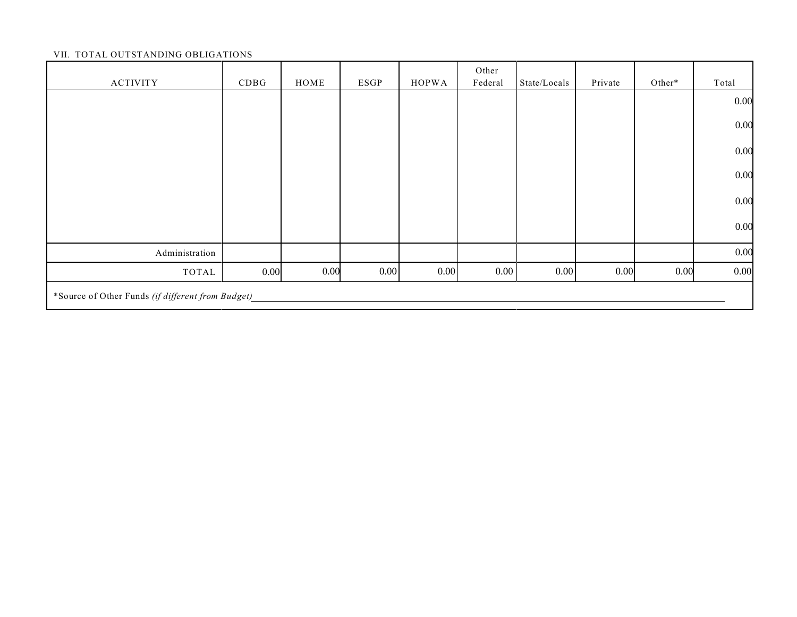### VII. TOTAL OUTSTANDING OBLIGATIONS

| <b>ACTIVITY</b>                                   | CDBG | HOME | <b>ESGP</b> | <b>HOPWA</b> | Other<br>Federal | State/Locals | Private | Other* | Total |
|---------------------------------------------------|------|------|-------------|--------------|------------------|--------------|---------|--------|-------|
|                                                   |      |      |             |              |                  |              |         |        | 0.00  |
|                                                   |      |      |             |              |                  |              |         |        | 0.00  |
|                                                   |      |      |             |              |                  |              |         |        | 0.00  |
|                                                   |      |      |             |              |                  |              |         |        | 0.00  |
|                                                   |      |      |             |              |                  |              |         |        | 0.00  |
|                                                   |      |      |             |              |                  |              |         |        | 0.00  |
| Administration                                    |      |      |             |              |                  |              |         |        | 0.00  |
| TOTAL                                             | 0.00 | 0.00 | 0.00        | 0.00         | $0.00\,$         | 0.00         | 0.00    | 0.00   | 0.00  |
| *Source of Other Funds (if different from Budget) |      |      |             |              |                  |              |         |        |       |